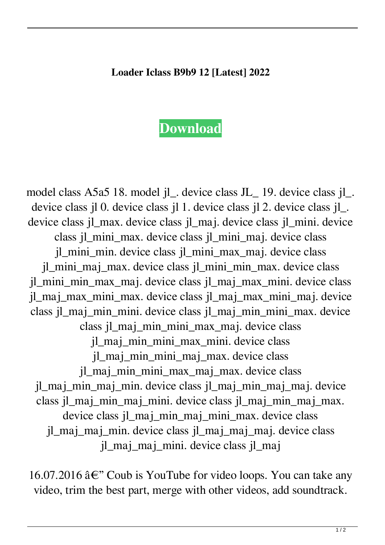## **Loader Iclass B9b9 12 [Latest] 2022**

## **[Download](http://evacdir.com/cody/depicts.intraconference.bG9hZGVyIGljbGFzcyBiOWI5IDEybG9.ZG93bmxvYWR8QnQ4TW5CbWRYeDhNVFkxTWpRMk16QTFNSHg4TWpVM05IeDhLRTBwSUhKbFlXUXRZbXh2WnlCYlJtRnpkQ0JIUlU1ZA.compulsary.ionize.niaaa/jamaican/)**

model class A5a5 18. model jl\_. device class JL\_ 19. device class jl\_. device class jl 0. device class jl 1. device class jl 2. device class jl\_. device class jl\_max. device class jl\_maj. device class jl\_mini. device class jl\_mini\_max. device class jl\_mini\_maj. device class jl\_mini\_min. device class jl\_mini\_max\_maj. device class jl\_mini\_maj\_max. device class jl\_mini\_min\_max. device class jl\_mini\_min\_max\_maj. device class jl\_maj\_max\_mini. device class jl\_maj\_max\_mini\_max. device class jl\_maj\_max\_mini\_maj. device class jl\_maj\_min\_mini. device class jl\_maj\_min\_mini\_max. device class jl\_maj\_min\_mini\_max\_maj. device class jl\_maj\_min\_mini\_max\_mini. device class jl\_maj\_min\_mini\_maj\_max. device class jl\_maj\_min\_mini\_max\_maj\_max. device class jl\_maj\_min\_maj\_min. device class jl\_maj\_min\_maj\_maj. device class jl\_maj\_min\_maj\_mini. device class jl\_maj\_min\_maj\_max. device class jl\_maj\_min\_maj\_mini\_max. device class jl\_maj\_maj\_min. device class jl\_maj\_maj\_maj. device class jl\_maj\_maj\_mini. device class jl\_maj

16.07.2016  $\hat{a} \in \mathcal{C}$  Coub is YouTube for video loops. You can take any video, trim the best part, merge with other videos, add soundtrack.